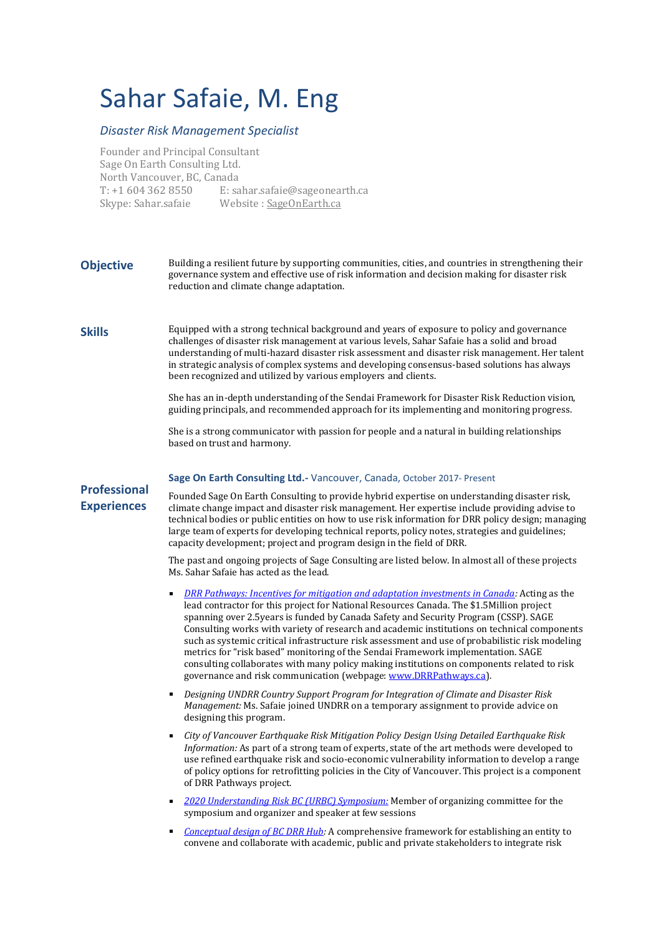# Sahar Safaie, M. Eng

## *Disaster Risk Management Specialist*

Founder and Principal Consultant Sage On Earth Consulting Ltd. North Vancouver, BC, Canada T: +1 604 362 8550 E: sahar.safaie@sageonearth.ca Skype: Sahar.safaie Website : [SageOnEarth.ca](http://www.sageonearth.ca/)

**Objective** Building a resilient future by supporting communities, cities, and countries in strengthening their governance system and effective use of risk information and decision making for disaster risk reduction and climate change adaptation.

**Skills** Equipped with a strong technical background and years of exposure to policy and governance challenges of disaster risk management at various levels, Sahar Safaie has a solid and broad understanding of multi-hazard disaster risk assessment and disaster risk management. Her talent in strategic analysis of complex systems and developing consensus-based solutions has always been recognized and utilized by various employers and clients.

> She has an in-depth understanding of the Sendai Framework for Disaster Risk Reduction vision, guiding principals, and recommended approach for its implementing and monitoring progress.

She is a strong communicator with passion for people and a natural in building relationships based on trust and harmony.

#### **Sage On Earth Consulting Ltd.-** Vancouver, Canada, October 2017- Present

**Professional Experiences**

Founded Sage On Earth Consulting to provide hybrid expertise on understanding disaster risk, climate change impact and disaster risk management. Her expertise include providing advise to technical bodies or public entities on how to use risk information for DRR policy design; managing large team of experts for developing technical reports, policy notes, strategies and guidelines; capacity development; project and program design in the field of DRR.

The past and ongoing projects of Sage Consulting are listed below. In almost all of these projects Ms. Sahar Safaie has acted as the lead.

- *DRR [Pathways: Incentives for mitigation and adaptation investments in Canada:](https://d.docs.live.net/3c8798af30f8c578/Documents/4.%20Sage%20Risk%20Management%20/1.2%20Personal%20Files/DRRPathways.ca)* Acting as the lead contractor for this project for National Resources Canada. The \$1.5Million project spanning over 2.5years is funded by Canada Safety and Security Program (CSSP). SAGE Consulting works with variety of research and academic institutions on technical components such as systemic critical infrastructure risk assessment and use of probabilistic risk modeling metrics for "risk based" monitoring of the Sendai Framework implementation. SAGE consulting collaborates with many policy making institutions on components related to risk governance and risk communication (webpage[: www.DRRPathways.ca\)](http://www.drrpathways.ca/).
- *Designing UNDRR Country Support Program for Integration of Climate and Disaster Risk Management:* Ms. Safaie joined UNDRR on a temporary assignment to provide advice on designing this program.
- *City of Vancouver Earthquake Risk Mitigation Policy Design Using Detailed Earthquake Risk Information:* As part of a strong team of experts, state of the art methods were developed to use refined earthquake risk and socio-economic vulnerability information to develop a range of policy options for retrofitting policies in the City of Vancouver. This project is a component of DRR Pathways project.
- *[2020 Understanding Risk BC \(URBC\) Symposium:](https://www.urbc.ca/urbc2020-archive)* Member of organizing committee for the symposium and organizer and speaker at few sessions
- *[Conceptual design of BC DRR Hub:](https://b57a6de3-c4e9-4b37-a074-21124b0bbe9a.filesusr.com/ugd/c54559_76a4d8a465374162ba400a275ab44e89.pdf)* A comprehensive framework for establishing an entity to convene and collaborate with academic, public and private stakeholders to integrate risk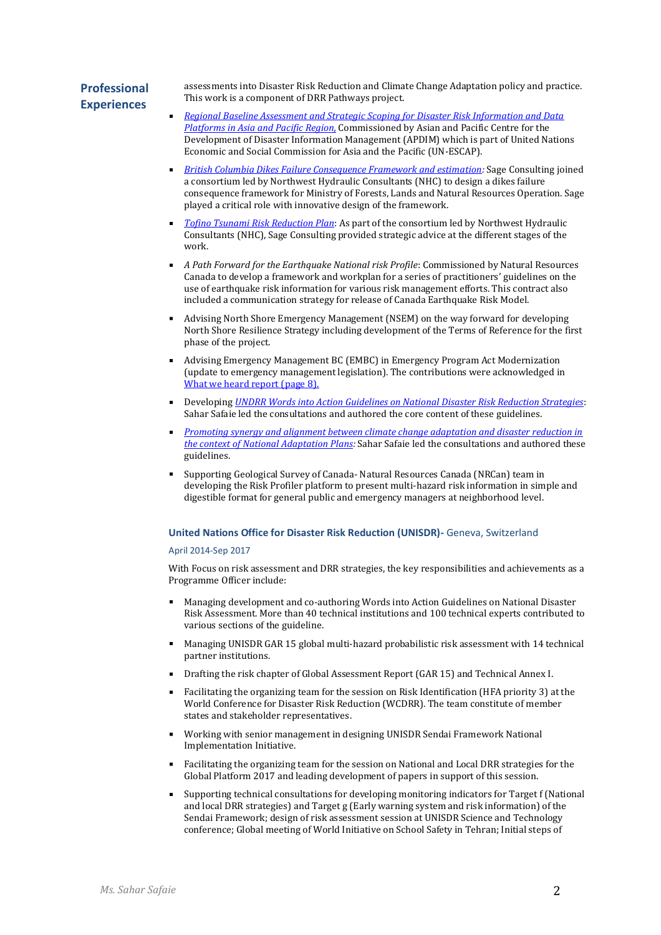# **Professional Experiences**

assessments into Disaster Risk Reduction and Climate Change Adaptation policy and practice. This work is a component of DRR Pathways project.

- *[Regional Baseline Assessment and Strategic Scoping for Disaster Risk Information and Data](https://apdim.unescap.org/knowledge-hub/apdim-preliminary-assessment-gaps-and-needs-disaster-risk-information-and-data)  [Platforms in Asia and Pacific Region,](https://apdim.unescap.org/knowledge-hub/apdim-preliminary-assessment-gaps-and-needs-disaster-risk-information-and-data)* Commissioned by Asian and Pacific Centre for the Development of Disaster Information Management (APDIM) which is part of United Nations Economic and Social Commission for Asia and the Pacific (UN-ESCAP).
- *[British Columbia Dikes Failure Consequence Framework and estimation:](https://www2.gov.bc.ca/assets/gov/environment/air-land-water/water/integrated-flood-hazard-mgmt/dike_consequence_classification_study_2019.pdf)* Sage Consulting joined a consortium led by Northwest Hydraulic Consultants (NHC) to design a dikes failure consequence framework for Ministry of Forests, Lands and Natural Resources Operation. Sage played a critical role with innovative design of the framework.
- *[Tofino Tsunami Risk Reduction Plan](https://tofino.civicweb.net/document/107147)*: As part of the consortium led by Northwest Hydraulic Consultants (NHC), Sage Consulting provided strategic advice at the different stages of the work.
- *A Path Forward for the Earthquake National risk Profile*: Commissioned by Natural Resources Canada to develop a framework and workplan for a series of practitioners' guidelines on the use of earthquake risk information for various risk management efforts. This contract also included a communication strategy for release of Canada Earthquake Risk Model.
- Advising North Shore Emergency Management (NSEM) on the way forward for developing North Shore Resilience Strategy including development of the Terms of Reference for the first phase of the project.
- Advising Emergency Management BC (EMBC) in Emergency Program Act Modernization (update to emergency management legislation). The contributions were acknowledged in [What we heard report](https://www2.gov.bc.ca/assets/gov/public-safety-and-emergency-services/emergency-preparedness-response-recovery/embc/reports/epa_what_we_heard_report.pdf) (page 8).
- Developing *UNDRR [Words into Action Guidelines on National Disaster Risk Reduction Strategies](https://www.unisdr.org/files/65095_wianationaldrrstrategies10052019.pdf)*: Sahar Safaie led the consultations and authored the core content of these guidelines.
- *[Promoting synergy and alignment between climate change adaptation and disaster reduction in](https://www.undrr.org/publication/promoting-synergy-and-alignment-between-climate-change-adaptation-and-disaster-risk)  [the context of National Adaptation Plans:](https://www.undrr.org/publication/promoting-synergy-and-alignment-between-climate-change-adaptation-and-disaster-risk)* Sahar Safaie led the consultations and authored these guidelines.
- Supporting Geological Survey of Canada- Natural Resources Canada (NRCan) team in developing the Risk Profiler platform to present multi-hazard risk information in simple and digestible format for general public and emergency managers at neighborhood level.

#### **United Nations Office for Disaster Risk Reduction (UNISDR)-** Geneva, Switzerland

#### April 2014-Sep 2017

With Focus on risk assessment and DRR strategies, the key responsibilities and achievements as a Programme Officer include:

- Managing development and co-authoring Words into Action Guidelines on National Disaster Risk Assessment. More than 40 technical institutions and 100 technical experts contributed to various sections of the guideline.
- Managing UNISDR GAR 15 global multi-hazard probabilistic risk assessment with 14 technical partner institutions.
- Drafting the risk chapter of Global Assessment Report (GAR 15) and Technical Annex I.
- Facilitating the organizing team for the session on Risk Identification (HFA priority 3) at the World Conference for Disaster Risk Reduction (WCDRR). The team constitute of member states and stakeholder representatives.
- Working with senior management in designing UNISDR Sendai Framework National Implementation Initiative.
- Facilitating the organizing team for the session on National and Local DRR strategies for the Global Platform 2017 and leading development of papers in support of this session.
- Supporting technical consultations for developing monitoring indicators for Target f (National and local DRR strategies) and Target g (Early warning system and risk information) of the Sendai Framework; design of risk assessment session at UNISDR Science and Technology conference; Global meeting of World Initiative on School Safety in Tehran; Initial steps of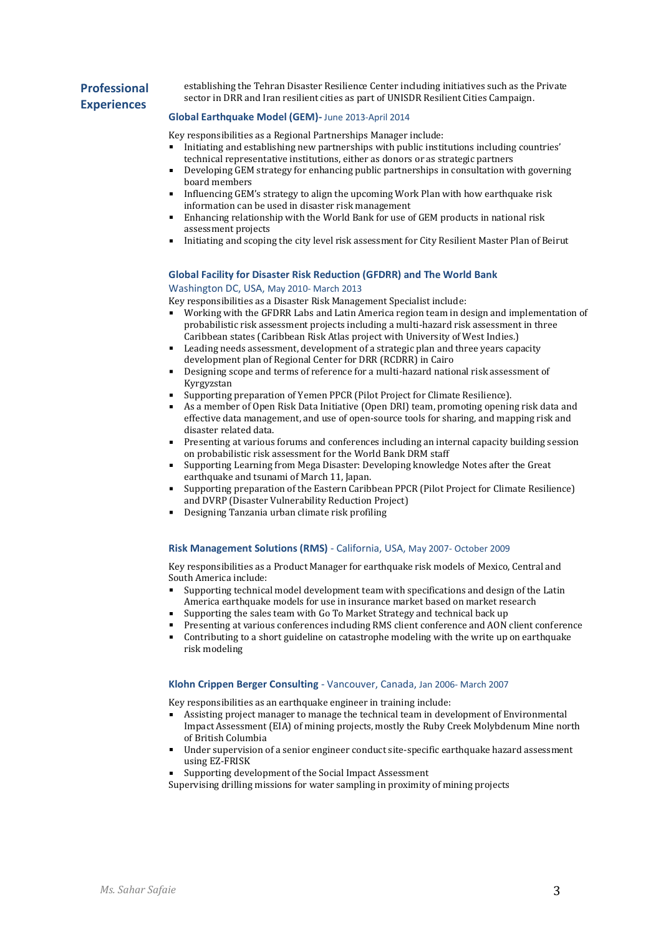# **Professional Experiences**

establishing the Tehran Disaster Resilience Center including initiatives such as the Private sector in DRR and Iran resilient cities as part of UNISDR Resilient Cities Campaign.

#### **Global Earthquake Model (GEM)-** June 2013-April 2014

Key responsibilities as a Regional Partnerships Manager include:

- Initiating and establishing new partnerships with public institutions including countries' technical representative institutions, either as donors or as strategic partners
- Developing GEM strategy for enhancing public partnerships in consultation with governing board members
- Influencing GEM's strategy to align the upcoming Work Plan with how earthquake risk information can be used in disaster risk management
- Enhancing relationship with the World Bank for use of GEM products in national risk assessment projects
- Initiating and scoping the city level risk assessment for City Resilient Master Plan of Beirut

### **Global Facility for Disaster Risk Reduction (GFDRR) and The World Bank**

#### Washington DC, USA, May 2010- March 2013

Key responsibilities as a Disaster Risk Management Specialist include:

- Working with the GFDRR Labs and Latin America region team in design and implementation of probabilistic risk assessment projects including a multi-hazard risk assessment in three Caribbean states (Caribbean Risk Atlas project with University of West Indies.)
- Leading needs assessment, development of a strategic plan and three years capacity development plan of Regional Center for DRR (RCDRR) in Cairo
- Designing scope and terms of reference for a multi-hazard national risk assessment of Kyrgyzstan
- Supporting preparation of Yemen PPCR (Pilot Project for Climate Resilience).
- As a member of Open Risk Data Initiative (Open DRI) team, promoting opening risk data and effective data management, and use of open-source tools for sharing, and mapping risk and disaster related data.
- Presenting at various forums and conferences including an internal capacity building session on probabilistic risk assessment for the World Bank DRM staff
- Supporting Learning from Mega Disaster: Developing knowledge Notes after the Great earthquake and tsunami of March 11, Japan.
- Supporting preparation of the Eastern Caribbean PPCR (Pilot Project for Climate Resilience) and DVRP (Disaster Vulnerability Reduction Project)
- Designing Tanzania urban climate risk profiling

#### **Risk Management Solutions (RMS)** - California, USA, May 2007- October 2009

Key responsibilities as a Product Manager for earthquake risk models of Mexico, Central and South America include:

- Supporting technical model development team with specifications and design of the Latin America earthquake models for use in insurance market based on market research
- Supporting the sales team with Go To Market Strategy and technical back up
- Presenting at various conferences including RMS client conference and AON client conference
- Contributing to a short guideline on catastrophe modeling with the write up on earthquake risk modeling

#### **Klohn Crippen Berger Consulting** - Vancouver, Canada, Jan 2006- March 2007

Key responsibilities as an earthquake engineer in training include:

- Assisting project manager to manage the technical team in development of Environmental Impact Assessment (EIA) of mining projects, mostly the Ruby Creek Molybdenum Mine north of British Columbia
- Under supervision of a senior engineer conduct site-specific earthquake hazard assessment using EZ-FRISK
- Supporting development of the Social Impact Assessment

Supervising drilling missions for water sampling in proximity of mining projects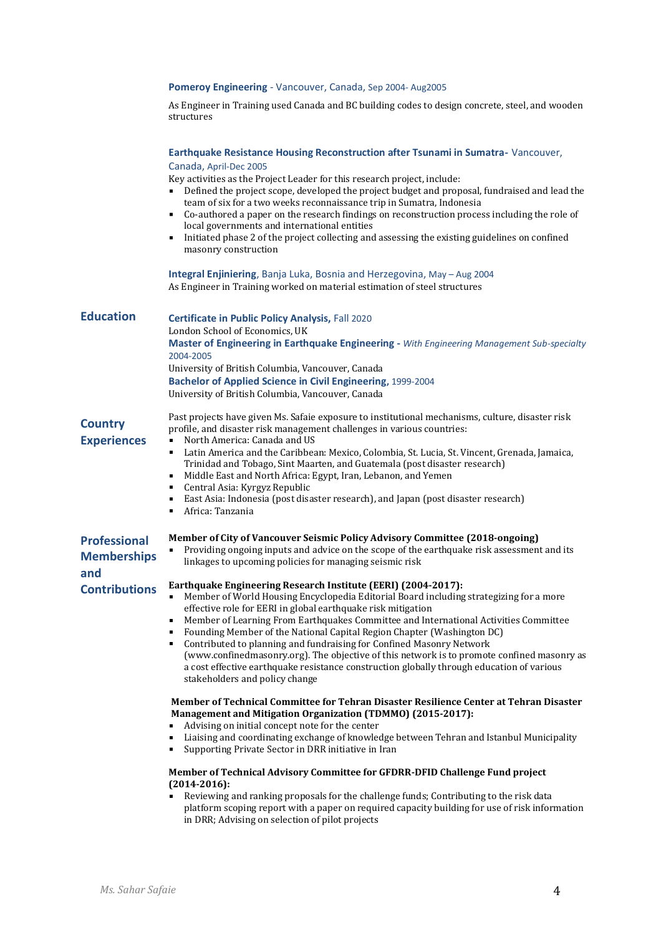|                                                  | Pomeroy Engineering - Vancouver, Canada, Sep 2004- Aug2005                                                                                                                                                                                                                                                                                                                                                                                                                                                                                                                                                                                                                                                                                                                                           |
|--------------------------------------------------|------------------------------------------------------------------------------------------------------------------------------------------------------------------------------------------------------------------------------------------------------------------------------------------------------------------------------------------------------------------------------------------------------------------------------------------------------------------------------------------------------------------------------------------------------------------------------------------------------------------------------------------------------------------------------------------------------------------------------------------------------------------------------------------------------|
|                                                  | As Engineer in Training used Canada and BC building codes to design concrete, steel, and wooden<br>structures                                                                                                                                                                                                                                                                                                                                                                                                                                                                                                                                                                                                                                                                                        |
|                                                  | Earthquake Resistance Housing Reconstruction after Tsunami in Sumatra-Vancouver,<br>Canada, April-Dec 2005<br>Key activities as the Project Leader for this research project, include:<br>Defined the project scope, developed the project budget and proposal, fundraised and lead the<br>team of six for a two weeks reconnaissance trip in Sumatra, Indonesia<br>• Co-authored a paper on the research findings on reconstruction process including the role of<br>local governments and international entities<br>Initiated phase 2 of the project collecting and assessing the existing guidelines on confined<br>masonry construction<br>Integral Enjiniering, Banja Luka, Bosnia and Herzegovina, May - Aug 2004<br>As Engineer in Training worked on material estimation of steel structures |
| <b>Education</b>                                 | Certificate in Public Policy Analysis, Fall 2020<br>London School of Economics, UK<br>Master of Engineering in Earthquake Engineering - With Engineering Management Sub-specialty<br>2004-2005<br>University of British Columbia, Vancouver, Canada<br>Bachelor of Applied Science in Civil Engineering, 1999-2004<br>University of British Columbia, Vancouver, Canada                                                                                                                                                                                                                                                                                                                                                                                                                              |
| <b>Country</b><br><b>Experiences</b>             | Past projects have given Ms. Safaie exposure to institutional mechanisms, culture, disaster risk<br>profile, and disaster risk management challenges in various countries:<br>North America: Canada and US<br>$\blacksquare$<br>Latin America and the Caribbean: Mexico, Colombia, St. Lucia, St. Vincent, Grenada, Jamaica,<br>٠<br>Trinidad and Tobago, Sint Maarten, and Guatemala (post disaster research)<br>Middle East and North Africa: Egypt, Iran, Lebanon, and Yemen<br>$\blacksquare$<br>Central Asia: Kyrgyz Republic<br>$\mathbf{r}$<br>East Asia: Indonesia (post disaster research), and Japan (post disaster research)<br>٠<br>Africa: Tanzania<br>٠                                                                                                                                |
| <b>Professional</b><br><b>Memberships</b><br>and | Member of City of Vancouver Seismic Policy Advisory Committee (2018-ongoing)<br>Providing ongoing inputs and advice on the scope of the earthquake risk assessment and its<br>linkages to upcoming policies for managing seismic risk                                                                                                                                                                                                                                                                                                                                                                                                                                                                                                                                                                |
| <b>Contributions</b>                             | Earthquake Engineering Research Institute (EERI) (2004-2017):<br>Member of World Housing Encyclopedia Editorial Board including strategizing for a more<br>effective role for EERI in global earthquake risk mitigation<br>Member of Learning From Earthquakes Committee and International Activities Committee<br>٠<br>Founding Member of the National Capital Region Chapter (Washington DC)<br>٠<br>Contributed to planning and fundraising for Confined Masonry Network<br>(www.confinedmasonry.org). The objective of this network is to promote confined masonry as<br>a cost effective earthquake resistance construction globally through education of various<br>stakeholders and policy change                                                                                             |
|                                                  | Member of Technical Committee for Tehran Disaster Resilience Center at Tehran Disaster<br>Management and Mitigation Organization (TDMMO) (2015-2017):<br>Advising on initial concept note for the center<br>Liaising and coordinating exchange of knowledge between Tehran and Istanbul Municipality<br>Supporting Private Sector in DRR initiative in Iran<br>٠                                                                                                                                                                                                                                                                                                                                                                                                                                     |
|                                                  | Member of Technical Advisory Committee for GFDRR-DFID Challenge Fund project<br>$(2014 - 2016)$ :<br>Reviewing and ranking proposals for the challenge funds; Contributing to the risk data<br>platform scoping report with a paper on required capacity building for use of risk information<br>in DRR; Advising on selection of pilot projects                                                                                                                                                                                                                                                                                                                                                                                                                                                     |